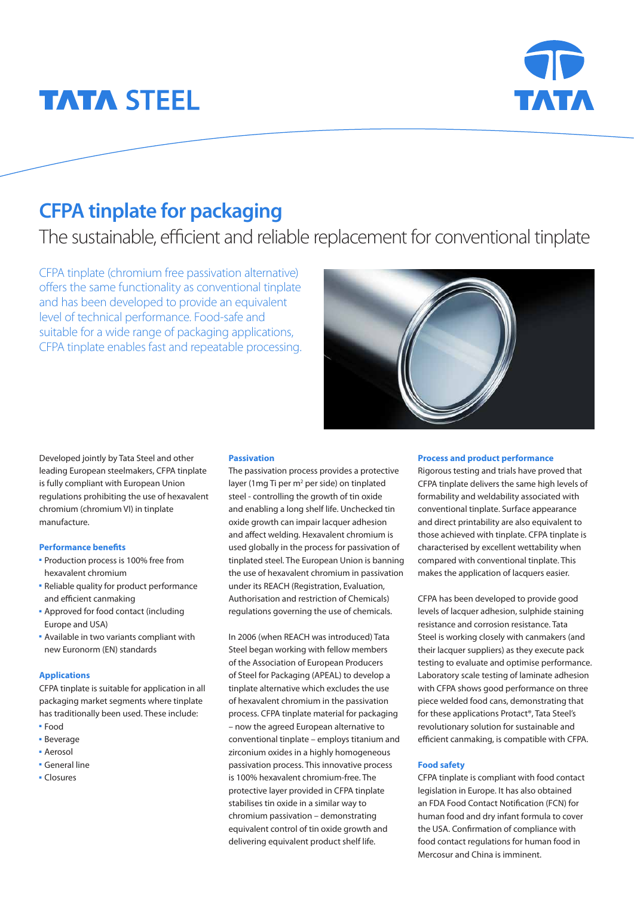# **TATA STEEL**



## **CFPA tinplate for packaging**

The sustainable, efficient and reliable replacement for conventional tinplate

CFPA tinplate (chromium free passivation alternative) offers the same functionality as conventional tinplate and has been developed to provide an equivalent level of technical performance. Food-safe and suitable for a wide range of packaging applications, CFPA tinplate enables fast and repeatable processing.



Developed jointly by Tata Steel and other leading European steelmakers, CFPA tinplate is fully compliant with European Union regulations prohibiting the use of hexavalent chromium (chromium VI) in tinplate manufacture.

#### **Performance benefits**

- **Production process is 100% free from** hexavalent chromium
- Reliable quality for product performance and efficient canmaking
- Approved for food contact (including Europe and USA)
- **Available in two variants compliant with** new Euronorm (EN) standards

#### **Applications**

CFPA tinplate is suitable for application in all packaging market segments where tinplate has traditionally been used. These include:

- Food
- **Beverage**
- **Aerosol**
- **General line**
- Closures

#### **Passivation**

The passivation process provides a protective layer (1 mg Ti per  $m^2$  per side) on tinplated steel - controlling the growth of tin oxide and enabling a long shelf life. Unchecked tin oxide growth can impair lacquer adhesion and affect welding. Hexavalent chromium is used globally in the process for passivation of tinplated steel. The European Union is banning the use of hexavalent chromium in passivation under its REACH (Registration, Evaluation, Authorisation and restriction of Chemicals) regulations governing the use of chemicals.

In 2006 (when REACH was introduced) Tata Steel began working with fellow members of the Association of European Producers of Steel for Packaging (APEAL) to develop a tinplate alternative which excludes the use of hexavalent chromium in the passivation process. CFPA tinplate material for packaging – now the agreed European alternative to conventional tinplate – employs titanium and zirconium oxides in a highly homogeneous passivation process. This innovative process is 100% hexavalent chromium-free. The protective layer provided in CFPA tinplate stabilises tin oxide in a similar way to chromium passivation – demonstrating equivalent control of tin oxide growth and delivering equivalent product shelf life.

#### **Process and product performance**

Rigorous testing and trials have proved that CFPA tinplate delivers the same high levels of formability and weldability associated with conventional tinplate. Surface appearance and direct printability are also equivalent to those achieved with tinplate. CFPA tinplate is characterised by excellent wettability when compared with conventional tinplate. This makes the application of lacquers easier.

CFPA has been developed to provide good levels of lacquer adhesion, sulphide staining resistance and corrosion resistance. Tata Steel is working closely with canmakers (and their lacquer suppliers) as they execute pack testing to evaluate and optimise performance. Laboratory scale testing of laminate adhesion with CFPA shows good performance on three piece welded food cans, demonstrating that for these applications Protact®, Tata Steel's revolutionary solution for sustainable and efficient canmaking, is compatible with CFPA.

### **Food safety**

CFPA tinplate is compliant with food contact legislation in Europe. It has also obtained an FDA Food Contact Notification (FCN) for human food and dry infant formula to cover the USA. Confirmation of compliance with food contact regulations for human food in Mercosur and China is imminent.